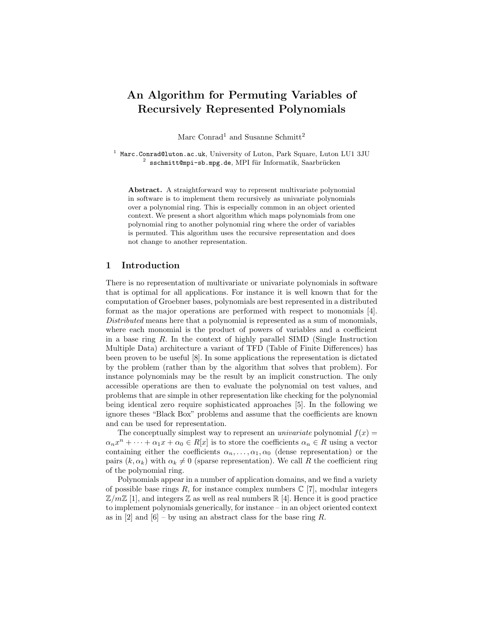# An Algorithm for Permuting Variables of Recursively Represented Polynomials

Marc Conrad<sup>1</sup> and Susanne Schmitt<sup>2</sup>

 $^1$  Marc.Conrad@luton.ac.uk, University of Luton, Park Square, Luton LU1 3JU  $^2$  sschmitt@mpi-sb.mpg.de, MPI für Informatik, Saarbrücken

Abstract. A straightforward way to represent multivariate polynomial in software is to implement them recursively as univariate polynomials over a polynomial ring. This is especially common in an object oriented context. We present a short algorithm which maps polynomials from one polynomial ring to another polynomial ring where the order of variables is permuted. This algorithm uses the recursive representation and does not change to another representation.

### 1 Introduction

There is no representation of multivariate or univariate polynomials in software that is optimal for all applications. For instance it is well known that for the computation of Groebner bases, polynomials are best represented in a distributed format as the major operations are performed with respect to monomials [4]. Distributed means here that a polynomial is represented as a sum of monomials, where each monomial is the product of powers of variables and a coefficient in a base ring  $R$ . In the context of highly parallel SIMD (Single Instruction Multiple Data) architecture a variant of TFD (Table of Finite Differences) has been proven to be useful [8]. In some applications the representation is dictated by the problem (rather than by the algorithm that solves that problem). For instance polynomials may be the result by an implicit construction. The only accessible operations are then to evaluate the polynomial on test values, and problems that are simple in other representation like checking for the polynomial being identical zero require sophisticated approaches [5]. In the following we ignore theses "Black Box" problems and assume that the coefficients are known and can be used for representation.

The conceptually simplest way to represent an *univariate* polynomial  $f(x) =$  $\alpha_n x^n + \cdots + \alpha_1 x + \alpha_0 \in R[x]$  is to store the coefficients  $\alpha_n \in R$  using a vector containing either the coefficients  $\alpha_n, \ldots, \alpha_1, \alpha_0$  (dense representation) or the pairs  $(k, \alpha_k)$  with  $\alpha_k \neq 0$  (sparse representation). We call R the coefficient ring of the polynomial ring.

Polynomials appear in a number of application domains, and we find a variety of possible base rings R, for instance complex numbers  $\mathbb{C}$  [7], modular integers  $\mathbb{Z}/m\mathbb{Z}$  [1], and integers  $\mathbb Z$  as well as real numbers  $\mathbb R$  [4]. Hence it is good practice to implement polynomials generically, for instance – in an object oriented context as in [2] and  $[6]$  – by using an abstract class for the base ring R.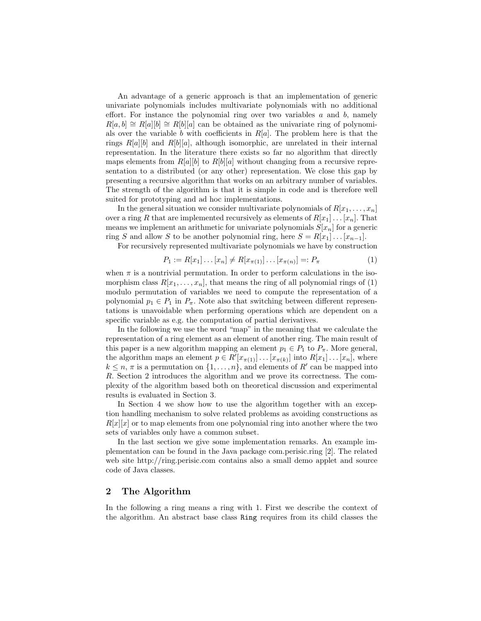An advantage of a generic approach is that an implementation of generic univariate polynomials includes multivariate polynomials with no additional effort. For instance the polynomial ring over two variables  $a$  and  $b$ , namely  $R[a, b] \cong R[a][b] \cong R[b][a]$  can be obtained as the univariate ring of polynomials over the variable b with coefficients in  $R[a]$ . The problem here is that the rings  $R[a][b]$  and  $R[b][a]$ , although isomorphic, are unrelated in their internal representation. In the literature there exists so far no algorithm that directly maps elements from  $R[a][b]$  to  $R[b][a]$  without changing from a recursive representation to a distributed (or any other) representation. We close this gap by presenting a recursive algorithm that works on an arbitrary number of variables. The strength of the algorithm is that it is simple in code and is therefore well suited for prototyping and ad hoc implementations.

In the general situation we consider multivariate polynomials of  $R[x_1, \ldots, x_n]$ over a ring R that are implemented recursively as elements of  $R[x_1] \dots [x_n]$ . That means we implement an arithmetic for univariate polynomials  $S[x_n]$  for a generic ring S and allow S to be another polynomial ring, here  $S = R[x_1] \dots [x_{n-1}]$ .

For recursively represented multivariate polynomials we have by construction

$$
P_1 := R[x_1] \dots [x_n] \neq R[x_{\pi(1)}] \dots [x_{\pi(n)}] =: P_{\pi}
$$
\n(1)

when  $\pi$  is a nontrivial permutation. In order to perform calculations in the isomorphism class  $R[x_1, \ldots, x_n]$ , that means the ring of all polynomial rings of (1) modulo permutation of variables we need to compute the representation of a polynomial  $p_1 \in P_1$  in  $P_\pi$ . Note also that switching between different representations is unavoidable when performing operations which are dependent on a specific variable as e.g. the computation of partial derivatives.

In the following we use the word "map" in the meaning that we calculate the representation of a ring element as an element of another ring. The main result of this paper is a new algorithm mapping an element  $p_1 \in P_1$  to  $P_\pi$ . More general, the algorithm maps an element  $p \in R'[x_{\pi(1)}] \dots [x_{\pi(k)}]$  into  $R[x_1] \dots [x_n]$ , where  $k \leq n, \pi$  is a permutation on  $\{1, \ldots, n\}$ , and elements of R' can be mapped into R. Section 2 introduces the algorithm and we prove its correctness. The complexity of the algorithm based both on theoretical discussion and experimental results is evaluated in Section 3.

In Section 4 we show how to use the algorithm together with an exception handling mechanism to solve related problems as avoiding constructions as  $R[x][x]$  or to map elements from one polynomial ring into another where the two sets of variables only have a common subset.

In the last section we give some implementation remarks. An example implementation can be found in the Java package com.perisic.ring [2]. The related web site http://ring.perisic.com contains also a small demo applet and source code of Java classes.

## 2 The Algorithm

In the following a ring means a ring with 1. First we describe the context of the algorithm. An abstract base class Ring requires from its child classes the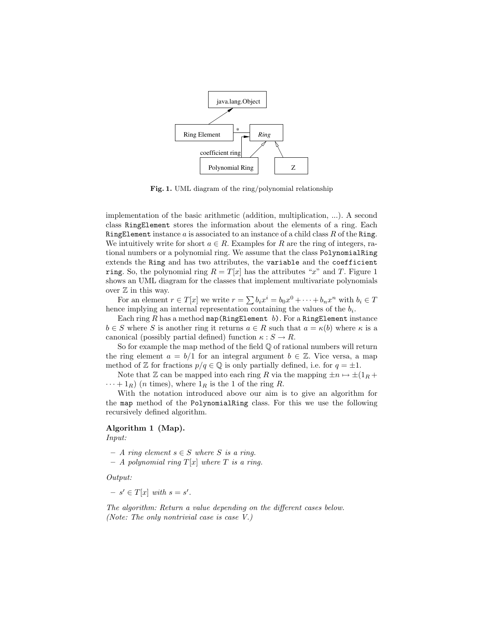

Fig. 1. UML diagram of the ring/polynomial relationship

implementation of the basic arithmetic (addition, multiplication, ...). A second class RingElement stores the information about the elements of a ring. Each RingElement instance  $a$  is associated to an instance of a child class  $R$  of the Ring. We intuitively write for short  $a \in R$ . Examples for R are the ring of integers, rational numbers or a polynomial ring. We assume that the class PolynomialRing extends the Ring and has two attributes, the variable and the coefficient ring. So, the polynomial ring  $R = T[x]$  has the attributes "x" and T. Figure 1 shows an UML diagram for the classes that implement multivariate polynomials over  $\mathbb Z$  in this way.

For an element  $r \in T[x]$  we write  $r = \sum b_i x^i = b_0 x^0 + \cdots + b_n x^n$  with  $b_i \in T$ hence implying an internal representation containing the values of the  $b_i$ .

Each ring  $R$  has a method map (RingElement  $b$ ). For a RingElement instance  $b \in S$  where S is another ring it returns  $a \in R$  such that  $a = \kappa(b)$  where  $\kappa$  is a canonical (possibly partial defined) function  $\kappa : S \to R$ .

So for example the map method of the field  $\mathbb Q$  of rational numbers will return the ring element  $a = b/1$  for an integral argument  $b \in \mathbb{Z}$ . Vice versa, a map method of Z for fractions  $p/q \in \mathbb{Q}$  is only partially defined, i.e. for  $q = \pm 1$ .

Note that Z can be mapped into each ring R via the mapping  $\pm n \mapsto \pm(1_R +$  $\cdots + 1_R$ ) (*n* times), where  $1_R$  is the 1 of the ring R.

With the notation introduced above our aim is to give an algorithm for the map method of the PolynomialRing class. For this we use the following recursively defined algorithm.

#### Algorithm 1 (Map).

Input:

- $A$  ring element  $s \in S$  where S is a ring.
- $A$  polynomial ring  $T[x]$  where T is a ring.

Output:

 $- s' \in T[x]$  with  $s = s'$ .

The algorithm: Return a value depending on the different cases below. (Note: The only nontrivial case is case V.)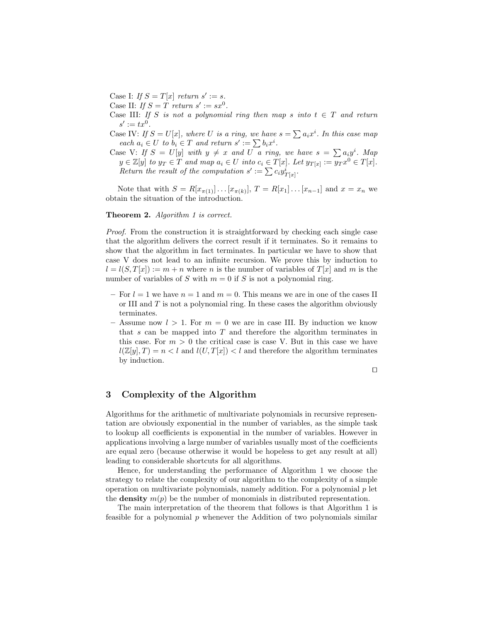Case I: If  $S = T[x]$  return  $s' := s$ .

Case II: If  $S = T$  return  $s' := sx^0$ .

Case III: If S is not a polynomial ring then map s into  $t \in T$  and return  $s' := tx^0.$ 

Case IV: If  $S = U[x]$ , where U is a ring, we have  $s = \sum a_i x^i$ . In this case map each  $a_i \in U$  to  $b_i \in T$  and return  $s' := \sum b_i x^i$ .

Case V: If  $S = U[y]$  with  $y \neq x$  and U a ring, we have  $s = \sum a_i y^i$ . Map  $y \in \mathbb{Z}[y]$  to  $y_T \in \overline{T}$  and map  $a_i \in U$  into  $c_i \in T[x]$ . Let  $y_{T[x]} := \overline{y_T x^0} \in T[x]$ . Return the result of the computation  $s' := \sum c_i y^i_{T[x]}$ .

Note that with  $S = R[x_{\pi(1)}] \dots [x_{\pi(k)}], T = R[x_1] \dots [x_{n-1}]$  and  $x = x_n$  we obtain the situation of the introduction.

#### Theorem 2. Algorithm 1 is correct.

Proof. From the construction it is straightforward by checking each single case that the algorithm delivers the correct result if it terminates. So it remains to show that the algorithm in fact terminates. In particular we have to show that case V does not lead to an infinite recursion. We prove this by induction to  $l = l(S, T[x]) := m + n$  where n is the number of variables of  $T[x]$  and m is the number of variables of S with  $m = 0$  if S is not a polynomial ring.

- For  $l = 1$  we have  $n = 1$  and  $m = 0$ . This means we are in one of the cases II or III and  $T$  is not a polynomial ring. In these cases the algorithm obviously terminates.
- Assume now  $l > 1$ . For  $m = 0$  we are in case III. By induction we know that  $s$  can be mapped into  $T$  and therefore the algorithm terminates in this case. For  $m > 0$  the critical case is case V. But in this case we have  $l(\mathbb{Z}[y], T) = n < l$  and  $l(U, T[x]) < l$  and therefore the algorithm terminates by induction.

$$
\Box
$$

# 3 Complexity of the Algorithm

Algorithms for the arithmetic of multivariate polynomials in recursive representation are obviously exponential in the number of variables, as the simple task to lookup all coefficients is exponential in the number of variables. However in applications involving a large number of variables usually most of the coefficients are equal zero (because otherwise it would be hopeless to get any result at all) leading to considerable shortcuts for all algorithms.

Hence, for understanding the performance of Algorithm 1 we choose the strategy to relate the complexity of our algorithm to the complexity of a simple operation on multivariate polynomials, namely addition. For a polynomial  $p$  let the **density**  $m(p)$  be the number of monomials in distributed representation.

The main interpretation of the theorem that follows is that Algorithm 1 is feasible for a polynomial p whenever the Addition of two polynomials similar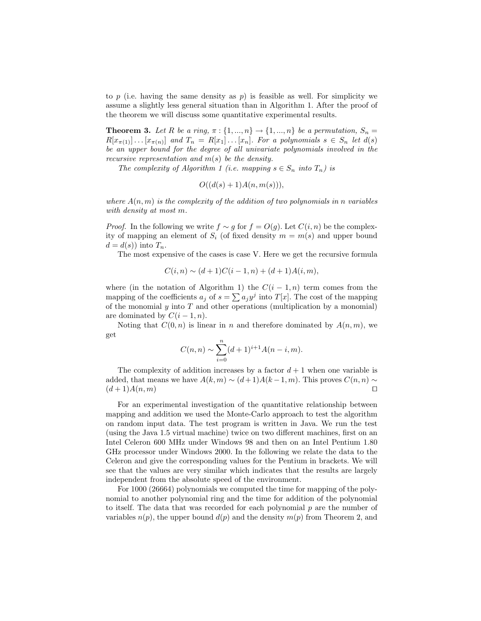to p (i.e. having the same density as  $p$ ) is feasible as well. For simplicity we assume a slightly less general situation than in Algorithm 1. After the proof of the theorem we will discuss some quantitative experimental results.

**Theorem 3.** Let R be a ring,  $\pi$  :  $\{1, ..., n\}$   $\rightarrow$   $\{1, ..., n\}$  be a permutation,  $S_n$  $R[x_{\pi(1)}] \dots [x_{\pi(n)}]$  and  $T_n = R[x_1] \dots [x_n]$ . For a polynomials  $s \in S_n$  let  $d(s)$ be an upper bound for the degree of all univariate polynomials involved in the recursive representation and  $m(s)$  be the density.

The complexity of Algorithm 1 (i.e. mapping  $s \in S_n$  into  $T_n$ ) is

$$
O((d(s) + 1)A(n, m(s))),
$$

where  $A(n, m)$  is the complexity of the addition of two polynomials in n variables with density at most m.

*Proof.* In the following we write  $f \sim g$  for  $f = O(g)$ . Let  $C(i, n)$  be the complexity of mapping an element of  $S_i$  (of fixed density  $m = m(s)$  and upper bound  $d = d(s)$  into  $T_n$ .

The most expensive of the cases is case V. Here we get the recursive formula

$$
C(i, n) \sim (d+1)C(i-1, n) + (d+1)A(i, m),
$$

where (in the notation of Algorithm 1) the  $C(i - 1, n)$  term comes from the mapping of the coefficients  $a_j$  of  $s = \sum a_j y^j$  into  $T[x]$ . The cost of the mapping of the monomial  $y$  into  $T$  and other operations (multiplication by a monomial) are dominated by  $C(i-1, n)$ .

Noting that  $C(0, n)$  is linear in n and therefore dominated by  $A(n, m)$ , we get

$$
C(n,n) \sim \sum_{i=0}^{n} (d+1)^{i+1} A(n-i, m).
$$

The complexity of addition increases by a factor  $d+1$  when one variable is added, that means we have  $A(k, m) \sim (d+1)A(k-1, m)$ . This proves  $C(n, n) \sim$  $(d+1)A(n, m)$ 

For an experimental investigation of the quantitative relationship between mapping and addition we used the Monte-Carlo approach to test the algorithm on random input data. The test program is written in Java. We run the test (using the Java 1.5 virtual machine) twice on two different machines, first on an Intel Celeron 600 MHz under Windows 98 and then on an Intel Pentium 1.80 GHz processor under Windows 2000. In the following we relate the data to the Celeron and give the corresponding values for the Pentium in brackets. We will see that the values are very similar which indicates that the results are largely independent from the absolute speed of the environment.

For 1000 (26664) polynomials we computed the time for mapping of the polynomial to another polynomial ring and the time for addition of the polynomial to itself. The data that was recorded for each polynomial  $p$  are the number of variables  $n(p)$ , the upper bound  $d(p)$  and the density  $m(p)$  from Theorem 2, and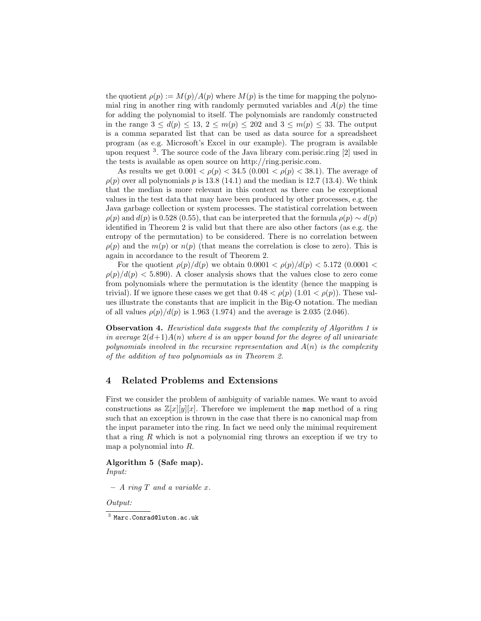the quotient  $\rho(p) := M(p)/A(p)$  where  $M(p)$  is the time for mapping the polynomial ring in another ring with randomly permuted variables and  $A(p)$  the time for adding the polynomial to itself. The polynomials are randomly constructed in the range  $3 \leq d(p) \leq 13$ ,  $2 \leq m(p) \leq 202$  and  $3 \leq m(p) \leq 33$ . The output is a comma separated list that can be used as data source for a spreadsheet program (as e.g. Microsoft's Excel in our example). The program is available upon request<sup>3</sup>. The source code of the Java library com.perisic.ring [2] used in the tests is available as open source on http://ring.perisic.com.

As results we get  $0.001 < \rho(p) < 34.5$   $(0.001 < \rho(p) < 38.1)$ . The average of  $\rho(p)$  over all polynomials p is 13.8 (14.1) and the median is 12.7 (13.4). We think that the median is more relevant in this context as there can be exceptional values in the test data that may have been produced by other processes, e.g. the Java garbage collection or system processes. The statistical correlation between  $\rho(p)$  and  $d(p)$  is 0.528 (0.55), that can be interpreted that the formula  $\rho(p) \sim d(p)$ identified in Theorem 2 is valid but that there are also other factors (as e.g. the entropy of the permutation) to be considered. There is no correlation between  $\rho(p)$  and the  $m(p)$  or  $n(p)$  (that means the correlation is close to zero). This is again in accordance to the result of Theorem 2.

For the quotient  $\rho(p)/d(p)$  we obtain  $0.0001 < \rho(p)/d(p) < 5.172$  (0.0001 <  $\rho(p)/d(p) < 5.890$ . A closer analysis shows that the values close to zero come from polynomials where the permutation is the identity (hence the mapping is trivial). If we ignore these cases we get that  $0.48 < \rho(p)$  (1.01  $< \rho(p)$ ). These values illustrate the constants that are implicit in the Big-O notation. The median of all values  $\rho(p)/d(p)$  is 1.963 (1.974) and the average is 2.035 (2.046).

Observation 4. Heuristical data suggests that the complexity of Algorithm 1 is in average  $2(d+1)A(n)$  where d is an upper bound for the degree of all univariate polynomials involved in the recursive representation and  $A(n)$  is the complexity of the addition of two polynomials as in Theorem 2.

#### 4 Related Problems and Extensions

First we consider the problem of ambiguity of variable names. We want to avoid constructions as  $\mathbb{Z}[x][y][x]$ . Therefore we implement the map method of a ring such that an exception is thrown in the case that there is no canonical map from the input parameter into the ring. In fact we need only the minimal requirement that a ring  $R$  which is not a polynomial ring throws an exception if we try to map a polynomial into R.

#### Algorithm 5 (Safe map). Input:

 $- A$  ring  $T$  and a variable  $x$ .

Output:

 $^3$  Marc.Conrad@luton.ac.uk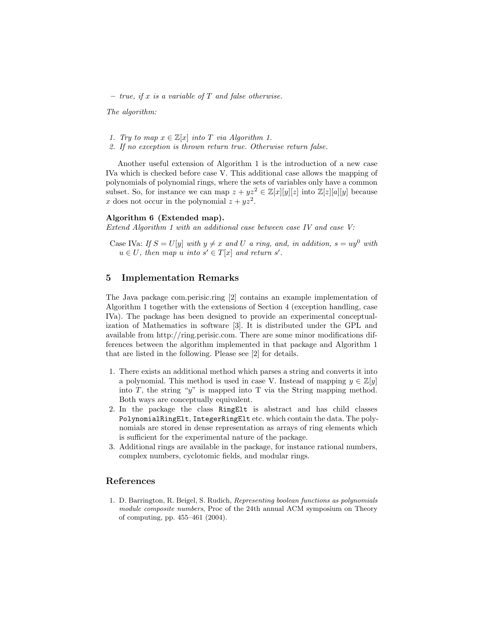– true, if x is a variable of  $T$  and false otherwise.

The algorithm:

- 1. Try to map  $x \in \mathbb{Z}[x]$  into T via Algorithm 1.
- 2. If no exception is thrown return true. Otherwise return false.

Another useful extension of Algorithm 1 is the introduction of a new case IVa which is checked before case V. This additional case allows the mapping of polynomials of polynomial rings, where the sets of variables only have a common subset. So, for instance we can map  $z + yz^2 \in \mathbb{Z}[x][y][z]$  into  $\mathbb{Z}[z][a][y]$  because x does not occur in the polynomial  $z + yz^2$ .

#### Algorithm 6 (Extended map).

Extend Algorithm 1 with an additional case between case IV and case V:

Case IVa: If  $S = U[y]$  with  $y \neq x$  and U a ring, and, in addition,  $s = uy^0$  with  $u \in U$ , then map u into  $s' \in T[x]$  and return s'.

# 5 Implementation Remarks

The Java package com.perisic.ring [2] contains an example implementation of Algorithm 1 together with the extensions of Section 4 (exception handling, case IVa). The package has been designed to provide an experimental conceptualization of Mathematics in software [3]. It is distributed under the GPL and available from http://ring.perisic.com. There are some minor modifications differences between the algorithm implemented in that package and Algorithm 1 that are listed in the following. Please see [2] for details.

- 1. There exists an additional method which parses a string and converts it into a polynomial. This method is used in case V. Instead of mapping  $y \in \mathbb{Z}[y]$ into  $T$ , the string "y" is mapped into  $T$  via the String mapping method. Both ways are conceptually equivalent.
- 2. In the package the class RingElt is abstract and has child classes PolynomialRingElt, IntegerRingElt etc. which contain the data. The polynomials are stored in dense representation as arrays of ring elements which is sufficient for the experimental nature of the package.
- 3. Additional rings are available in the package, for instance rational numbers, complex numbers, cyclotomic fields, and modular rings.

## References

1. D. Barrington, R. Beigel, S. Rudich, Representing boolean functions as polynomials module composite numbers, Proc of the 24th annual ACM symposium on Theory of computing, pp. 455–461 (2004).